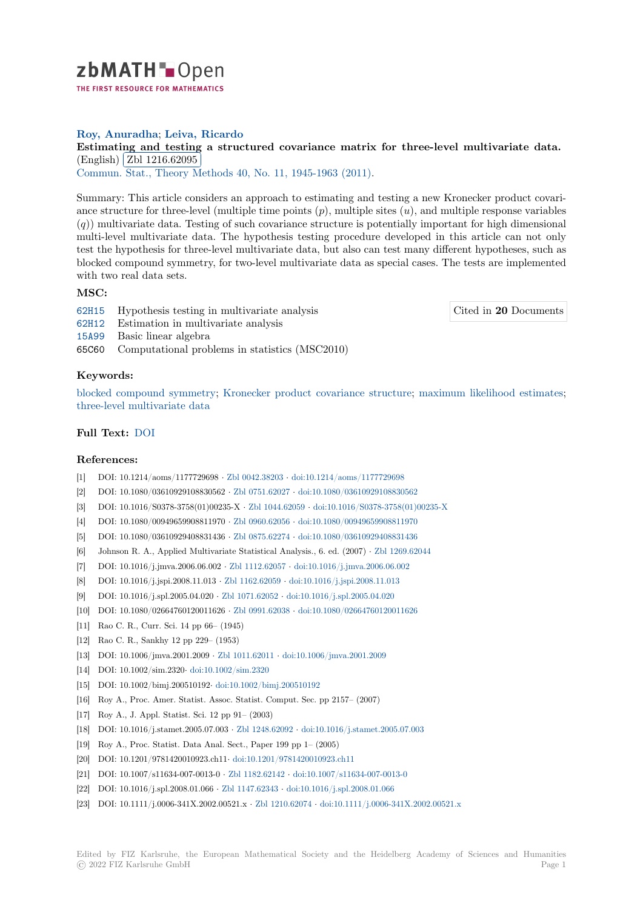

# **Roy, Anuradha**; **Leiva, Ricardo**

# [E](https://zbmath.org/)stimating and testing a structured covariance matrix for three-level multivariate data. (English) Zbl 1216.62095

(*Chighan*) (*Zol. 1210.02000*)<br>Commun. Stat., Theory Methods 40, No. 11, 1945-1963 (2011).

[Summary: This article considers an approach to estimating and testing a new Kronecker product covari](https://zbmath.org/1216.62095)ance stru[cture for three-leve](https://zbmath.org/1216.62095)l (multiple time points (*p*), multiple sites (*u*), and multiple response variables (*q*)) [multivariate data. Testing of](https://zbmath.org/journals/?q=se:1568) [such covariance structure is p](https://zbmath.org/?q=in:281585)otentially important for high dimensional multi-level multivariate data. The hypothesis testing procedure developed in this article can not only test the hypothesis for three-level multivariate data, but also can test many different hypotheses, such as blocked compound symmetry, for two-level multivariate data as special cases. The tests are implemented with two real data sets.

# **MSC:**

62H15 Hypothesis testing in multivariate analysis

Cited in **20** Documents

- 62H12 Estimation in multivariate analysis
- 15A99 Basic linear algebra
- 65C60 Computational problems in statistics (MSC2010)

### **[Keyw](https://zbmath.org/classification/?q=cc:62H12)ords:**

[blocke](https://zbmath.org/classification/?q=cc:15A99)d compound symmetry; Kronecker product covariance structure; maximum likelihood estimates; three-level multivariate data

### **Full Text:** DOI

#### **[References:](https://zbmath.org/?q=ut:three-level+multivariate+data)**

- [1] DOI: 10.1214/aoms/1177729698 *·* Zbl 0042.38203 *·* doi:10.1214/aoms/1177729698
- [2] DOI: 10.1[080/0](https://dx.doi.org/10.1080/03610921003672212)3610929108830562 *·* Zbl 0751.62027 *·* doi:10.1080/03610929108830562
- [3] DOI: 10.1016/S0378-3758(01)00235-X *·* Zbl 1044.62059 *·* doi:10.1016/S0378-3758(01)00235-X
- [4] DOI: 10.1080/00949659908811970 *·* Zbl 0960.62056 *·* doi:10.1080/00949659908811970
- [5] DOI: 10.1080/03610929408831436 *·* [Zbl 0875.6227](https://zbmath.org/0042.38203)4 *·* [doi:10.1080/036109294088314](https://dx.doi.org/10.1214/aoms/1177729698)36
- [6] Johnson R. A., Applied Multivariat[e Statistical An](https://zbmath.org/0751.62027)al[ysis., 6. ed. \(2007\)](https://dx.doi.org/10.1080/03610929108830562) *·* Zbl 1269.62044
- [7] DOI: 10.1016/j.jmva.2006.06.002 *·* Zbl [1112.62057](https://zbmath.org/1044.62059) *·* doi:1[0.1016/j.jmva.2006.06.002](https://dx.doi.org/10.1016/S0378-3758(01)00235-X)
- [8] DOI: 10.1016/j.jspi.2008.11.013 *·* Z[bl 1162.62059](https://zbmath.org/0960.62056) *·* d[oi:10.1016/j.jspi.2008.11.013](https://dx.doi.org/10.1080/00949659908811970)
- [9] DOI: 10.1016/j.spl.2005.04.020 *·* Zb[l 1071.62052](https://zbmath.org/0875.62274) *·* do[i:10.1016/j.spl.2005.04.020](https://dx.doi.org/10.1080/03610929408831436)
- [10] DOI: 10.1080/02664760120011626 *·* Zbl 0991.62038 *·* [doi:10.1080/0266476](https://dx.doi.org/10.1016/j.jmva.2006.06.002)[0120011626](https://zbmath.org/1269.62044)
- [11] Rao C. R., Curr. Sci. 14 pp 66– (1[945\)](https://zbmath.org/1112.62057)
- [12] Rao C. R., Sankhy 12 pp 229– (1[953\)](https://zbmath.org/1162.62059)
- [13] DOI: 10.1006/jmva.2001.2009 *·* [Zbl 1011.62011](https://zbmath.org/1071.62052) *·* [doi:10.1006/jmva.2001.2009](https://dx.doi.org/10.1016/j.spl.2005.04.020)
- [14] DOI: 10.1002/sim.2320*·* doi:10.1002[/sim.2320](https://zbmath.org/0991.62038)
- [15] DOI: 10.1002/bimj.200510192*·* doi:10.1002/bimj.200510192
- [16] Roy A., Proc. Amer. Statist. Assoc. Statist. Co[mput. Sec. pp 2157– \(2007\)](https://dx.doi.org/10.1006/jmva.2001.2009)
- [17] Roy A., J. Appl. Statist. Sci. 1[2 pp 91– \(2003\)](https://zbmath.org/1011.62011)
- [18] DOI: 10.1016/j.stamet.2[005.07.003](https://dx.doi.org/10.1002/sim.2320) *·* Zbl 1248.62092 *·* doi:10.1016/j.stamet.2005.07.003
- [19] Roy A., Proc. Statist. Data An[al. Sect., Paper 199 pp 1– \(2](https://dx.doi.org/10.1002/bimj.200510192)005)
- [20] DOI: 10.1201/9781420010923.ch11*·* doi:10.1201/9781420010923.ch11
- [21] DOI: 10.1007/s11634-007-0013-0 *·* Zbl 1182.62142 *·* doi:10.1007/s11634-007-0013-0
- [22] DOI: 10.1016/j.spl.2008.01.066 *·* Zbl [1147.62343](https://zbmath.org/1248.62092) *·* doi:[10.1016/j.spl.2008.01.066](https://dx.doi.org/10.1016/j.stamet.2005.07.003)
- [23] DOI: 10.1111/j.0006-341X.2002.00521.x *[·](https://dx.doi.org/10.1201/9781420010923.ch11)* Zbl 1210.62074 *·* doi:10.1111/j.0006-341X.2002.00521.x